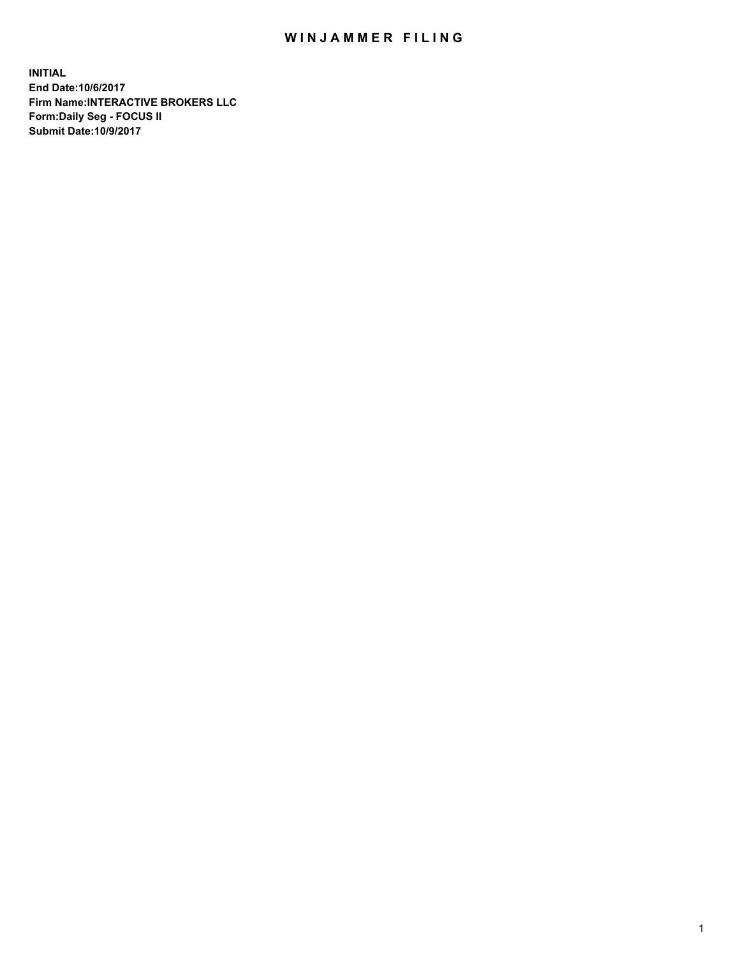## WIN JAMMER FILING

**INITIAL End Date:10/6/2017 Firm Name:INTERACTIVE BROKERS LLC Form:Daily Seg - FOCUS II Submit Date:10/9/2017**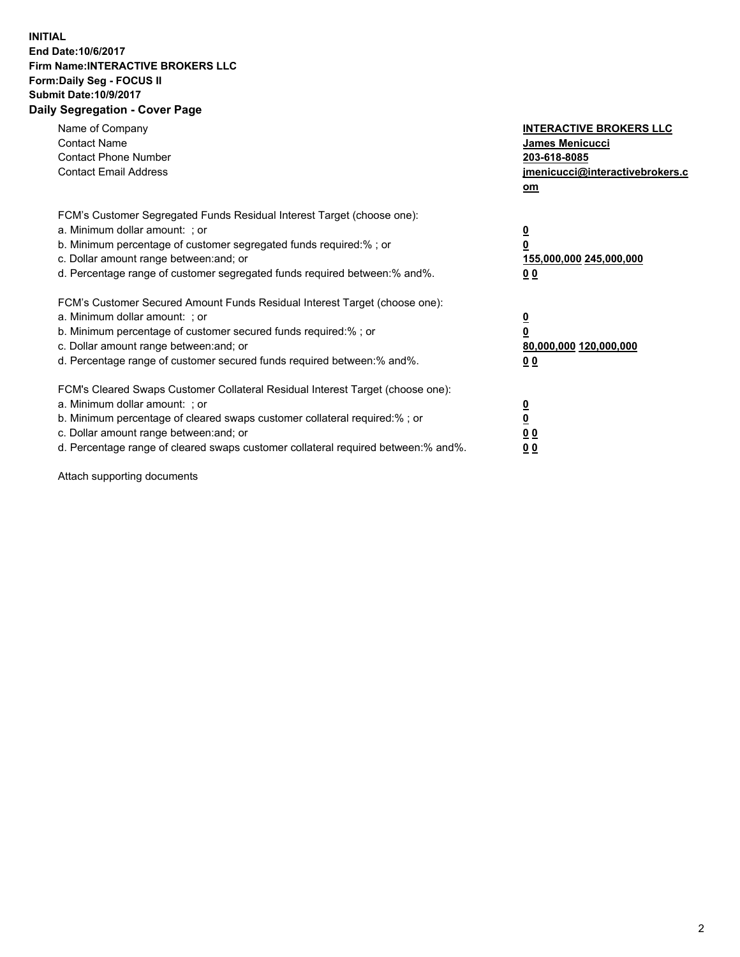## **INITIAL End Date:10/6/2017 Firm Name:INTERACTIVE BROKERS LLC Form:Daily Seg - FOCUS II Submit Date:10/9/2017 Daily Segregation - Cover Page**

| Name of Company<br><b>Contact Name</b><br><b>Contact Phone Number</b><br><b>Contact Email Address</b>                                                                                                                                                                                                                          | <b>INTERACTIVE BROKERS LLC</b><br><b>James Menicucci</b><br>203-618-8085<br>jmenicucci@interactivebrokers.c<br>om |
|--------------------------------------------------------------------------------------------------------------------------------------------------------------------------------------------------------------------------------------------------------------------------------------------------------------------------------|-------------------------------------------------------------------------------------------------------------------|
| FCM's Customer Segregated Funds Residual Interest Target (choose one):<br>a. Minimum dollar amount: ; or<br>b. Minimum percentage of customer segregated funds required:%; or<br>c. Dollar amount range between: and; or<br>d. Percentage range of customer segregated funds required between:% and%.                          | $\overline{\mathbf{0}}$<br>0<br>155,000,000 245,000,000<br>0 <sub>0</sub>                                         |
| FCM's Customer Secured Amount Funds Residual Interest Target (choose one):<br>a. Minimum dollar amount: ; or<br>b. Minimum percentage of customer secured funds required:%; or<br>c. Dollar amount range between: and; or<br>d. Percentage range of customer secured funds required between: % and %.                          | $\overline{\mathbf{0}}$<br>0<br>80,000,000 120,000,000<br>0 <sub>0</sub>                                          |
| FCM's Cleared Swaps Customer Collateral Residual Interest Target (choose one):<br>a. Minimum dollar amount: ; or<br>b. Minimum percentage of cleared swaps customer collateral required:% ; or<br>c. Dollar amount range between: and; or<br>d. Percentage range of cleared swaps customer collateral required between:% and%. | $\overline{\mathbf{0}}$<br>$\overline{\mathbf{0}}$<br>0 <sub>0</sub><br><u>00</u>                                 |

Attach supporting documents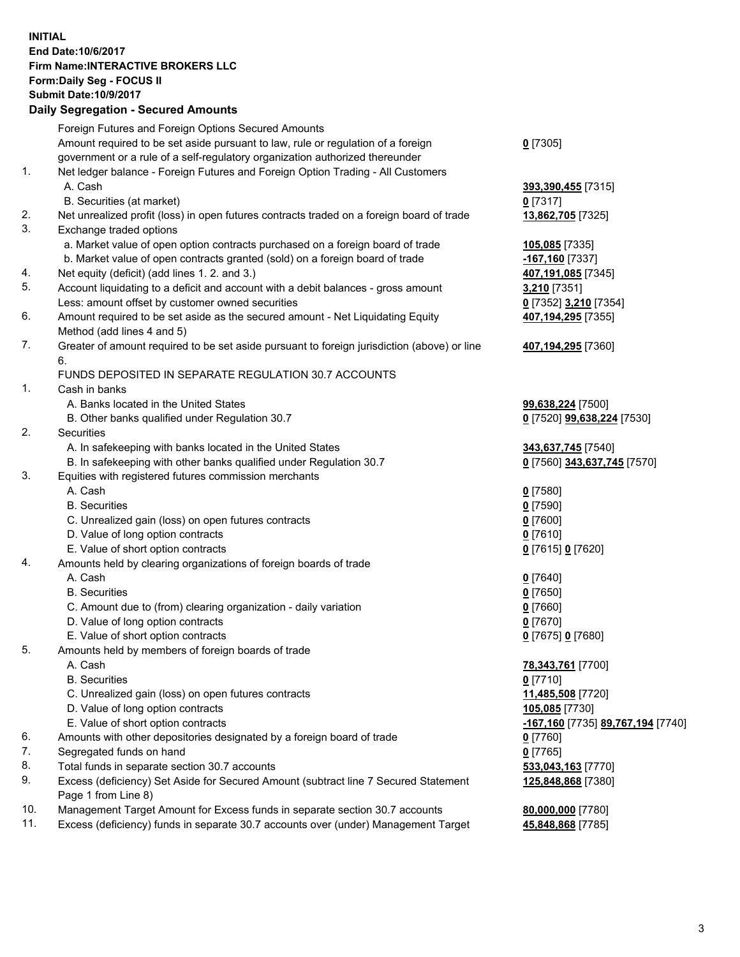## **INITIAL End Date:10/6/2017 Firm Name:INTERACTIVE BROKERS LLC Form:Daily Seg - FOCUS II Submit Date:10/9/2017 Daily Segregation - Secured Amounts**

| Foreign Futures and Foreign Options Secured Amounts                                         |                                                                                                                                                                                                                                                                                                                                                                                                                                                                                                                                                                                               |
|---------------------------------------------------------------------------------------------|-----------------------------------------------------------------------------------------------------------------------------------------------------------------------------------------------------------------------------------------------------------------------------------------------------------------------------------------------------------------------------------------------------------------------------------------------------------------------------------------------------------------------------------------------------------------------------------------------|
| Amount required to be set aside pursuant to law, rule or regulation of a foreign            | $0$ [7305]                                                                                                                                                                                                                                                                                                                                                                                                                                                                                                                                                                                    |
| government or a rule of a self-regulatory organization authorized thereunder                |                                                                                                                                                                                                                                                                                                                                                                                                                                                                                                                                                                                               |
| Net ledger balance - Foreign Futures and Foreign Option Trading - All Customers             |                                                                                                                                                                                                                                                                                                                                                                                                                                                                                                                                                                                               |
| A. Cash                                                                                     | 393,390,455 [7315]                                                                                                                                                                                                                                                                                                                                                                                                                                                                                                                                                                            |
| B. Securities (at market)                                                                   | $0$ [7317]                                                                                                                                                                                                                                                                                                                                                                                                                                                                                                                                                                                    |
| Net unrealized profit (loss) in open futures contracts traded on a foreign board of trade   | 13,862,705 [7325]                                                                                                                                                                                                                                                                                                                                                                                                                                                                                                                                                                             |
| Exchange traded options                                                                     |                                                                                                                                                                                                                                                                                                                                                                                                                                                                                                                                                                                               |
| a. Market value of open option contracts purchased on a foreign board of trade              | 105,085 [7335]                                                                                                                                                                                                                                                                                                                                                                                                                                                                                                                                                                                |
| b. Market value of open contracts granted (sold) on a foreign board of trade                | -167,160 [7337]                                                                                                                                                                                                                                                                                                                                                                                                                                                                                                                                                                               |
| Net equity (deficit) (add lines 1.2. and 3.)                                                | 407,191,085 [7345]                                                                                                                                                                                                                                                                                                                                                                                                                                                                                                                                                                            |
| Account liquidating to a deficit and account with a debit balances - gross amount           | 3,210 [7351]                                                                                                                                                                                                                                                                                                                                                                                                                                                                                                                                                                                  |
| Less: amount offset by customer owned securities                                            | 0 [7352] 3,210 [7354]                                                                                                                                                                                                                                                                                                                                                                                                                                                                                                                                                                         |
| Amount required to be set aside as the secured amount - Net Liquidating Equity              | 407,194,295 [7355]                                                                                                                                                                                                                                                                                                                                                                                                                                                                                                                                                                            |
| Method (add lines 4 and 5)                                                                  |                                                                                                                                                                                                                                                                                                                                                                                                                                                                                                                                                                                               |
| Greater of amount required to be set aside pursuant to foreign jurisdiction (above) or line | 407,194,295 [7360]                                                                                                                                                                                                                                                                                                                                                                                                                                                                                                                                                                            |
| 6.                                                                                          |                                                                                                                                                                                                                                                                                                                                                                                                                                                                                                                                                                                               |
| FUNDS DEPOSITED IN SEPARATE REGULATION 30.7 ACCOUNTS                                        |                                                                                                                                                                                                                                                                                                                                                                                                                                                                                                                                                                                               |
| Cash in banks                                                                               |                                                                                                                                                                                                                                                                                                                                                                                                                                                                                                                                                                                               |
| A. Banks located in the United States                                                       | 99,638,224 [7500]                                                                                                                                                                                                                                                                                                                                                                                                                                                                                                                                                                             |
| B. Other banks qualified under Regulation 30.7                                              | 0 [7520] 99,638,224 [7530]                                                                                                                                                                                                                                                                                                                                                                                                                                                                                                                                                                    |
| Securities                                                                                  |                                                                                                                                                                                                                                                                                                                                                                                                                                                                                                                                                                                               |
| A. In safekeeping with banks located in the United States                                   | 343,637,745 [7540]                                                                                                                                                                                                                                                                                                                                                                                                                                                                                                                                                                            |
| B. In safekeeping with other banks qualified under Regulation 30.7                          | 0 [7560] 343,637,745 [7570]                                                                                                                                                                                                                                                                                                                                                                                                                                                                                                                                                                   |
| Equities with registered futures commission merchants                                       |                                                                                                                                                                                                                                                                                                                                                                                                                                                                                                                                                                                               |
| A. Cash                                                                                     | $0$ [7580]                                                                                                                                                                                                                                                                                                                                                                                                                                                                                                                                                                                    |
| <b>B.</b> Securities                                                                        | $0$ [7590]                                                                                                                                                                                                                                                                                                                                                                                                                                                                                                                                                                                    |
| C. Unrealized gain (loss) on open futures contracts                                         | $0$ [7600]                                                                                                                                                                                                                                                                                                                                                                                                                                                                                                                                                                                    |
| D. Value of long option contracts                                                           | $0$ [7610]                                                                                                                                                                                                                                                                                                                                                                                                                                                                                                                                                                                    |
| E. Value of short option contracts                                                          | 0 [7615] 0 [7620]                                                                                                                                                                                                                                                                                                                                                                                                                                                                                                                                                                             |
| Amounts held by clearing organizations of foreign boards of trade                           |                                                                                                                                                                                                                                                                                                                                                                                                                                                                                                                                                                                               |
|                                                                                             | $0$ [7640]                                                                                                                                                                                                                                                                                                                                                                                                                                                                                                                                                                                    |
| <b>B.</b> Securities                                                                        | $0$ [7650]                                                                                                                                                                                                                                                                                                                                                                                                                                                                                                                                                                                    |
| C. Amount due to (from) clearing organization - daily variation                             | $0$ [7660]                                                                                                                                                                                                                                                                                                                                                                                                                                                                                                                                                                                    |
|                                                                                             | $0$ [7670]                                                                                                                                                                                                                                                                                                                                                                                                                                                                                                                                                                                    |
| E. Value of short option contracts                                                          | 0 [7675] 0 [7680]                                                                                                                                                                                                                                                                                                                                                                                                                                                                                                                                                                             |
| Amounts held by members of foreign boards of trade                                          |                                                                                                                                                                                                                                                                                                                                                                                                                                                                                                                                                                                               |
|                                                                                             | 78,343,761 [7700]                                                                                                                                                                                                                                                                                                                                                                                                                                                                                                                                                                             |
| <b>B.</b> Securities                                                                        | $0$ [7710]                                                                                                                                                                                                                                                                                                                                                                                                                                                                                                                                                                                    |
|                                                                                             | 11,485,508 [7720]                                                                                                                                                                                                                                                                                                                                                                                                                                                                                                                                                                             |
|                                                                                             | 105,085 [7730]                                                                                                                                                                                                                                                                                                                                                                                                                                                                                                                                                                                |
| E. Value of short option contracts                                                          | -167,160 [7735] 89,767,194 [7740]                                                                                                                                                                                                                                                                                                                                                                                                                                                                                                                                                             |
|                                                                                             | 0 [7760]                                                                                                                                                                                                                                                                                                                                                                                                                                                                                                                                                                                      |
|                                                                                             | $0$ [7765]                                                                                                                                                                                                                                                                                                                                                                                                                                                                                                                                                                                    |
|                                                                                             | 533,043,163 [7770]                                                                                                                                                                                                                                                                                                                                                                                                                                                                                                                                                                            |
|                                                                                             | 125,848,868 [7380]                                                                                                                                                                                                                                                                                                                                                                                                                                                                                                                                                                            |
|                                                                                             |                                                                                                                                                                                                                                                                                                                                                                                                                                                                                                                                                                                               |
|                                                                                             | 80,000,000 [7780]                                                                                                                                                                                                                                                                                                                                                                                                                                                                                                                                                                             |
|                                                                                             | 45,848,868 [7785]                                                                                                                                                                                                                                                                                                                                                                                                                                                                                                                                                                             |
|                                                                                             | A. Cash<br>D. Value of long option contracts<br>A. Cash<br>C. Unrealized gain (loss) on open futures contracts<br>D. Value of long option contracts<br>Amounts with other depositories designated by a foreign board of trade<br>Segregated funds on hand<br>Total funds in separate section 30.7 accounts<br>Excess (deficiency) Set Aside for Secured Amount (subtract line 7 Secured Statement<br>Page 1 from Line 8)<br>Management Target Amount for Excess funds in separate section 30.7 accounts<br>Excess (deficiency) funds in separate 30.7 accounts over (under) Management Target |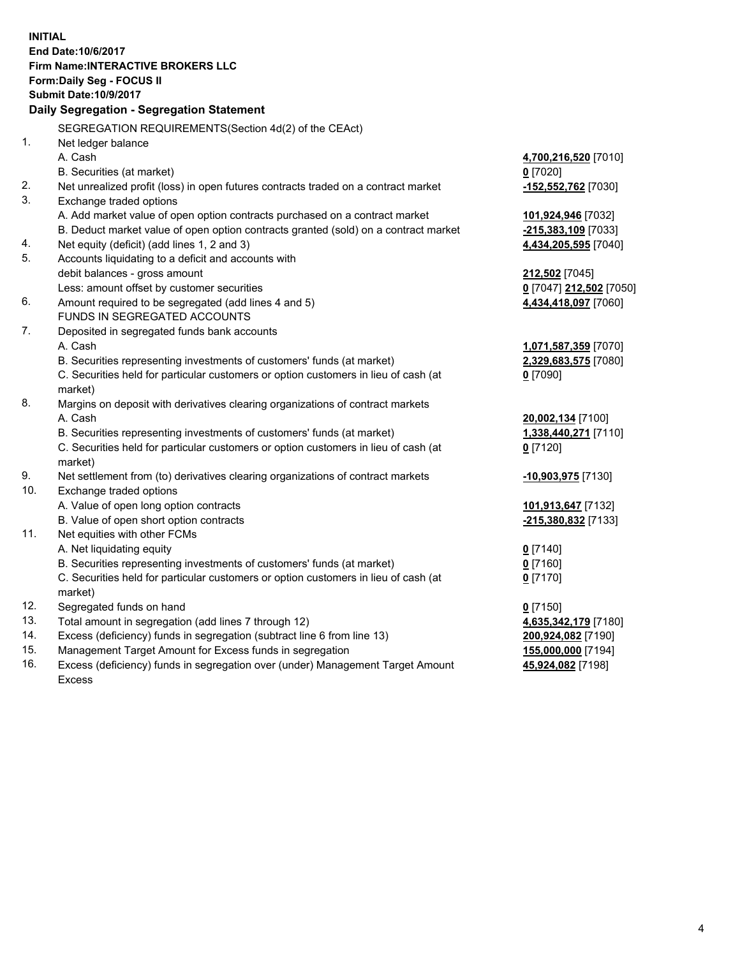**INITIAL End Date:10/6/2017 Firm Name:INTERACTIVE BROKERS LLC Form:Daily Seg - FOCUS II Submit Date:10/9/2017 Daily Segregation - Segregation Statement** SEGREGATION REQUIREMENTS(Section 4d(2) of the CEAct) 1. Net ledger balance A. Cash **4,700,216,520** [7010] B. Securities (at market) **0** [7020] 2. Net unrealized profit (loss) in open futures contracts traded on a contract market **-152,552,762** [7030] 3. Exchange traded options A. Add market value of open option contracts purchased on a contract market **101,924,946** [7032] B. Deduct market value of open option contracts granted (sold) on a contract market **-215,383,109** [7033] 4. Net equity (deficit) (add lines 1, 2 and 3) **4,434,205,595** [7040] 5. Accounts liquidating to a deficit and accounts with debit balances - gross amount **212,502** [7045] Less: amount offset by customer securities **0** [7047] **212,502** [7050] 6. Amount required to be segregated (add lines 4 and 5) **4,434,418,097** [7060] FUNDS IN SEGREGATED ACCOUNTS 7. Deposited in segregated funds bank accounts A. Cash **1,071,587,359** [7070] B. Securities representing investments of customers' funds (at market) **2,329,683,575** [7080] C. Securities held for particular customers or option customers in lieu of cash (at market) **0** [7090] 8. Margins on deposit with derivatives clearing organizations of contract markets A. Cash **20,002,134** [7100] B. Securities representing investments of customers' funds (at market) **1,338,440,271** [7110] C. Securities held for particular customers or option customers in lieu of cash (at market) **0** [7120] 9. Net settlement from (to) derivatives clearing organizations of contract markets **-10,903,975** [7130] 10. Exchange traded options A. Value of open long option contracts **101,913,647** [7132] B. Value of open short option contracts **-215,380,832** [7133] 11. Net equities with other FCMs A. Net liquidating equity **0** [7140] B. Securities representing investments of customers' funds (at market) **0** [7160] C. Securities held for particular customers or option customers in lieu of cash (at market) **0** [7170] 12. Segregated funds on hand **0** [7150] 13. Total amount in segregation (add lines 7 through 12) **4,635,342,179** [7180] 14. Excess (deficiency) funds in segregation (subtract line 6 from line 13) **200,924,082** [7190] 15. Management Target Amount for Excess funds in segregation **155,000,000** [7194]

16. Excess (deficiency) funds in segregation over (under) Management Target Amount Excess

**45,924,082** [7198]